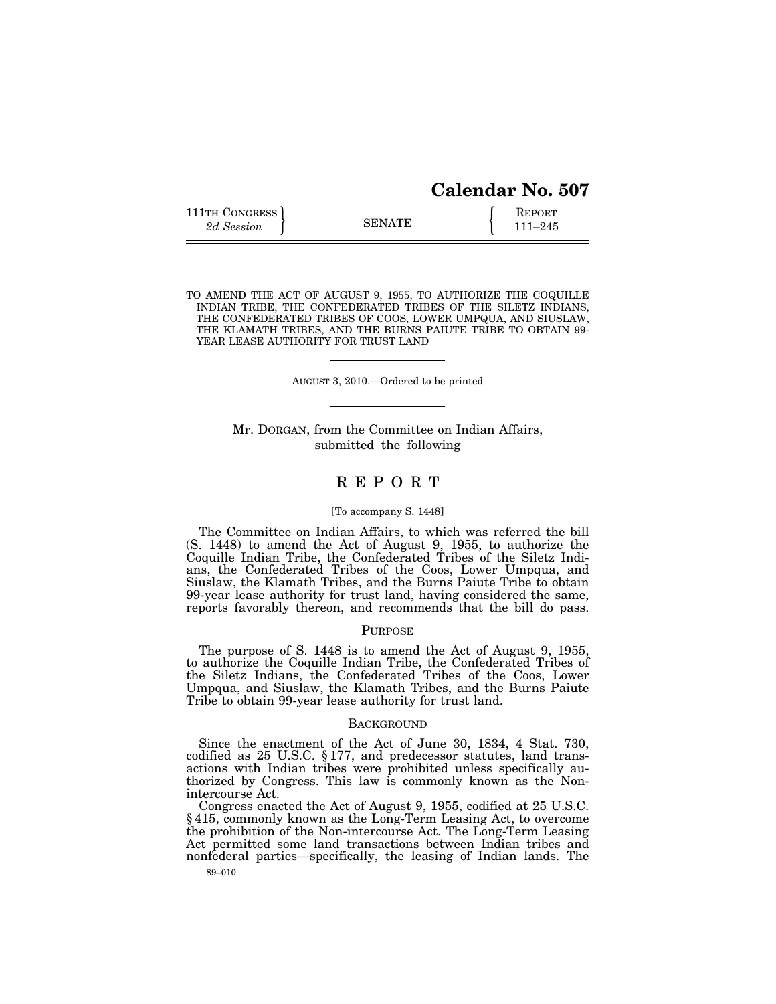| <b>Calendar No. 507</b> |  |
|-------------------------|--|
|                         |  |

| 111TH CONGRESS |               | <b>REPORT</b> |
|----------------|---------------|---------------|
| 2d Session     | <b>SENATE</b> | 111–245       |

TO AMEND THE ACT OF AUGUST 9, 1955, TO AUTHORIZE THE COQUILLE INDIAN TRIBE, THE CONFEDERATED TRIBES OF THE SILETZ INDIANS, THE CONFEDERATED TRIBES OF COOS, LOWER UMPQUA, AND SIUSLAW, THE KLAMATH TRIBES, AND THE BURNS PAIUTE TRIBE TO OBTAIN 99- YEAR LEASE AUTHORITY FOR TRUST LAND

AUGUST 3, 2010.—Ordered to be printed

Mr. DORGAN, from the Committee on Indian Affairs, submitted the following

# R E P O R T

#### [To accompany S. 1448]

The Committee on Indian Affairs, to which was referred the bill (S. 1448) to amend the Act of August 9, 1955, to authorize the Coquille Indian Tribe, the Confederated Tribes of the Siletz Indians, the Confederated Tribes of the Coos, Lower Umpqua, and Siuslaw, the Klamath Tribes, and the Burns Paiute Tribe to obtain 99-year lease authority for trust land, having considered the same, reports favorably thereon, and recommends that the bill do pass.

### PURPOSE

The purpose of S. 1448 is to amend the Act of August 9, 1955, to authorize the Coquille Indian Tribe, the Confederated Tribes of the Siletz Indians, the Confederated Tribes of the Coos, Lower Umpqua, and Siuslaw, the Klamath Tribes, and the Burns Paiute Tribe to obtain 99-year lease authority for trust land.

### **BACKGROUND**

Since the enactment of the Act of June 30, 1834, 4 Stat. 730, codified as 25 U.S.C. § 177, and predecessor statutes, land transactions with Indian tribes were prohibited unless specifically authorized by Congress. This law is commonly known as the Nonintercourse Act.

Congress enacted the Act of August 9, 1955, codified at 25 U.S.C. § 415, commonly known as the Long-Term Leasing Act, to overcome the prohibition of the Non-intercourse Act. The Long-Term Leasing Act permitted some land transactions between Indian tribes and nonfederal parties—specifically, the leasing of Indian lands. The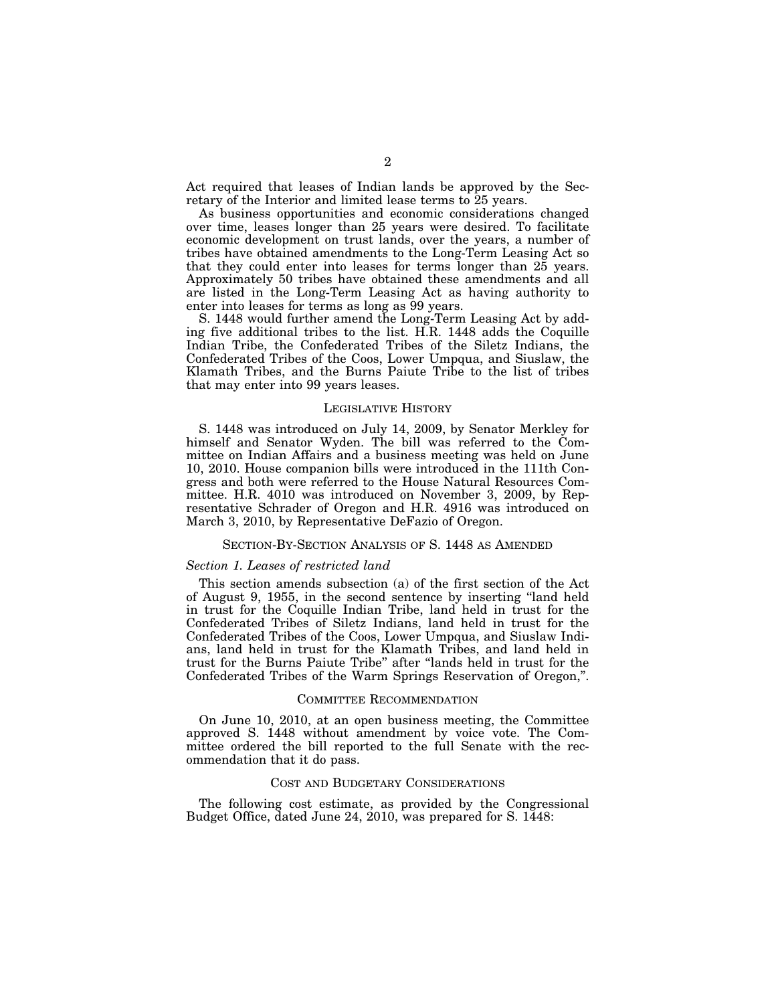Act required that leases of Indian lands be approved by the Secretary of the Interior and limited lease terms to 25 years.

As business opportunities and economic considerations changed over time, leases longer than 25 years were desired. To facilitate economic development on trust lands, over the years, a number of tribes have obtained amendments to the Long-Term Leasing Act so that they could enter into leases for terms longer than 25 years. Approximately 50 tribes have obtained these amendments and all are listed in the Long-Term Leasing Act as having authority to enter into leases for terms as long as 99 years.

S. 1448 would further amend the Long-Term Leasing Act by adding five additional tribes to the list. H.R. 1448 adds the Coquille Indian Tribe, the Confederated Tribes of the Siletz Indians, the Confederated Tribes of the Coos, Lower Umpqua, and Siuslaw, the Klamath Tribes, and the Burns Paiute Tribe to the list of tribes that may enter into 99 years leases.

#### LEGISLATIVE HISTORY

S. 1448 was introduced on July 14, 2009, by Senator Merkley for himself and Senator Wyden. The bill was referred to the Committee on Indian Affairs and a business meeting was held on June 10, 2010. House companion bills were introduced in the 111th Congress and both were referred to the House Natural Resources Committee. H.R. 4010 was introduced on November 3, 2009, by Representative Schrader of Oregon and H.R. 4916 was introduced on March 3, 2010, by Representative DeFazio of Oregon.

## SECTION-BY-SECTION ANALYSIS OF S. 1448 AS AMENDED

## *Section 1. Leases of restricted land*

This section amends subsection (a) of the first section of the Act of August 9, 1955, in the second sentence by inserting ''land held in trust for the Coquille Indian Tribe, land held in trust for the Confederated Tribes of Siletz Indians, land held in trust for the Confederated Tribes of the Coos, Lower Umpqua, and Siuslaw Indians, land held in trust for the Klamath Tribes, and land held in trust for the Burns Paiute Tribe'' after ''lands held in trust for the Confederated Tribes of the Warm Springs Reservation of Oregon,''.

#### COMMITTEE RECOMMENDATION

On June 10, 2010, at an open business meeting, the Committee approved S. 1448 without amendment by voice vote. The Committee ordered the bill reported to the full Senate with the recommendation that it do pass.

### COST AND BUDGETARY CONSIDERATIONS

The following cost estimate, as provided by the Congressional Budget Office, dated June 24, 2010, was prepared for S. 1448: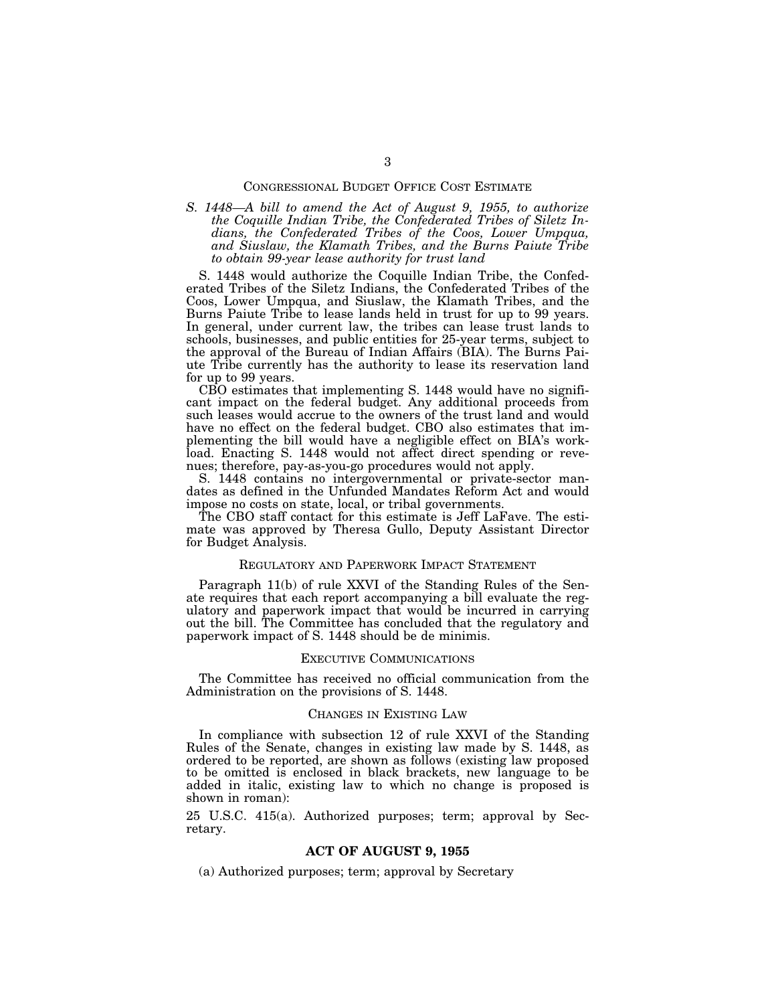## CONGRESSIONAL BUDGET OFFICE COST ESTIMATE

*S. 1448—A bill to amend the Act of August 9, 1955, to authorize the Coquille Indian Tribe, the Confederated Tribes of Siletz Indians, the Confederated Tribes of the Coos, Lower Umpqua, and Siuslaw, the Klamath Tribes, and the Burns Paiute Tribe to obtain 99-year lease authority for trust land* 

S. 1448 would authorize the Coquille Indian Tribe, the Confederated Tribes of the Siletz Indians, the Confederated Tribes of the Coos, Lower Umpqua, and Siuslaw, the Klamath Tribes, and the Burns Paiute Tribe to lease lands held in trust for up to 99 years. In general, under current law, the tribes can lease trust lands to schools, businesses, and public entities for 25-year terms, subject to the approval of the Bureau of Indian Affairs (BIA). The Burns Paiute Tribe currently has the authority to lease its reservation land for up to 99 years.

CBO estimates that implementing S. 1448 would have no significant impact on the federal budget. Any additional proceeds from such leases would accrue to the owners of the trust land and would have no effect on the federal budget. CBO also estimates that implementing the bill would have a negligible effect on BIA's workload. Enacting S. 1448 would not affect direct spending or revenues; therefore, pay-as-you-go procedures would not apply.

S. 1448 contains no intergovernmental or private-sector mandates as defined in the Unfunded Mandates Reform Act and would impose no costs on state, local, or tribal governments.

The CBO staff contact for this estimate is Jeff LaFave. The estimate was approved by Theresa Gullo, Deputy Assistant Director for Budget Analysis.

## REGULATORY AND PAPERWORK IMPACT STATEMENT

Paragraph 11(b) of rule XXVI of the Standing Rules of the Senate requires that each report accompanying a bill evaluate the regulatory and paperwork impact that would be incurred in carrying out the bill. The Committee has concluded that the regulatory and paperwork impact of S. 1448 should be de minimis.

#### EXECUTIVE COMMUNICATIONS

The Committee has received no official communication from the Administration on the provisions of S. 1448.

# CHANGES IN EXISTING LAW

In compliance with subsection 12 of rule XXVI of the Standing Rules of the Senate, changes in existing law made by S. 1448, as ordered to be reported, are shown as follows (existing law proposed to be omitted is enclosed in black brackets, new language to be added in italic, existing law to which no change is proposed is shown in roman):

25 U.S.C. 415(a). Authorized purposes; term; approval by Secretary.

# **ACT OF AUGUST 9, 1955**

(a) Authorized purposes; term; approval by Secretary